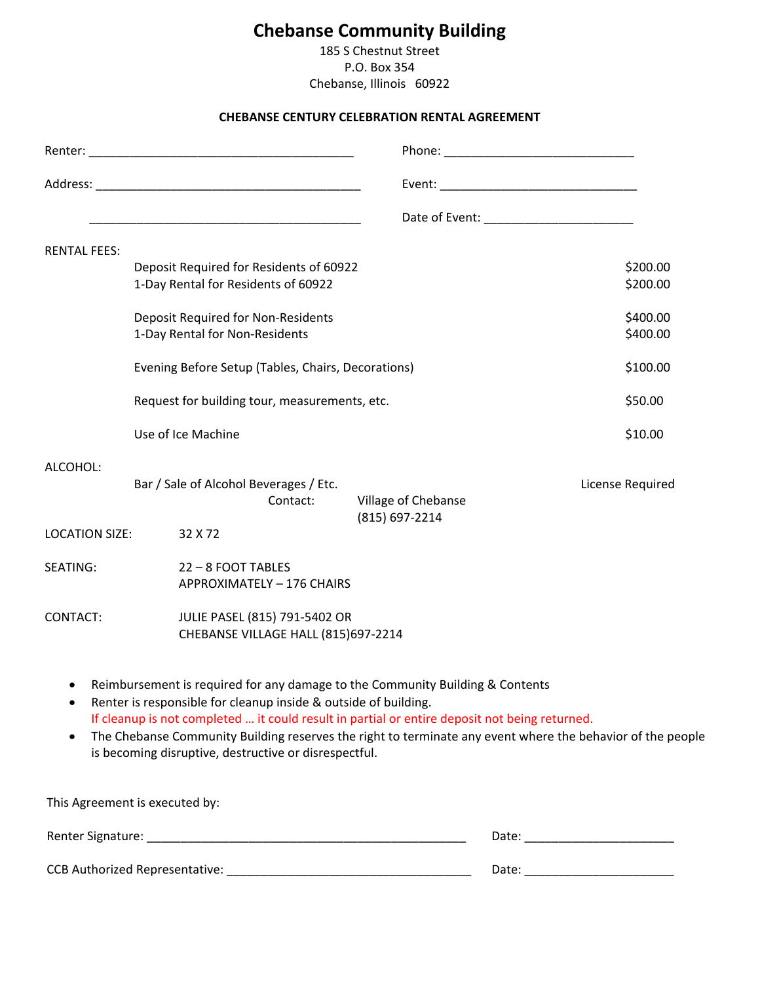# **Chebanse Community Building**

185 S Chestnut Street P.O. Box 354 Chebanse, Illinois 60922

### **CHEBANSE CENTURY CELEBRATION RENTAL AGREEMENT**

|                       | <u> 1989 - Johann John Stone, mars and de final and de final and design and design and design and design and des</u>     |                                                                                                                                                                                                                                                                                              |                      |
|-----------------------|--------------------------------------------------------------------------------------------------------------------------|----------------------------------------------------------------------------------------------------------------------------------------------------------------------------------------------------------------------------------------------------------------------------------------------|----------------------|
| <b>RENTAL FEES:</b>   |                                                                                                                          |                                                                                                                                                                                                                                                                                              |                      |
|                       | Deposit Required for Residents of 60922<br>1-Day Rental for Residents of 60922                                           |                                                                                                                                                                                                                                                                                              | \$200.00<br>\$200.00 |
|                       | <b>Deposit Required for Non-Residents</b><br>1-Day Rental for Non-Residents                                              |                                                                                                                                                                                                                                                                                              | \$400.00<br>\$400.00 |
|                       | Evening Before Setup (Tables, Chairs, Decorations)                                                                       |                                                                                                                                                                                                                                                                                              | \$100.00             |
|                       | Request for building tour, measurements, etc.                                                                            |                                                                                                                                                                                                                                                                                              | \$50.00              |
|                       | Use of Ice Machine                                                                                                       |                                                                                                                                                                                                                                                                                              | \$10.00              |
| ALCOHOL:              | Bar / Sale of Alcohol Beverages / Etc.<br>Contact:                                                                       | Village of Chebanse<br>(815) 697-2214                                                                                                                                                                                                                                                        | License Required     |
| <b>LOCATION SIZE:</b> | 32 X 72                                                                                                                  |                                                                                                                                                                                                                                                                                              |                      |
| SEATING:              | 22-8 FOOT TABLES<br>APPROXIMATELY - 176 CHAIRS                                                                           |                                                                                                                                                                                                                                                                                              |                      |
| CONTACT:              | JULIE PASEL (815) 791-5402 OR<br>CHEBANSE VILLAGE HALL (815)697-2214                                                     |                                                                                                                                                                                                                                                                                              |                      |
|                       | Renter is responsible for cleanup inside & outside of building.<br>is becoming disruptive, destructive or disrespectful. | Reimbursement is required for any damage to the Community Building & Contents<br>If cleanup is not completed  it could result in partial or entire deposit not being returned.<br>The Chebanse Community Building reserves the right to terminate any event where the behavior of the people |                      |
|                       | This Agreement is executed by:                                                                                           |                                                                                                                                                                                                                                                                                              |                      |
|                       |                                                                                                                          |                                                                                                                                                                                                                                                                                              |                      |
|                       |                                                                                                                          |                                                                                                                                                                                                                                                                                              |                      |